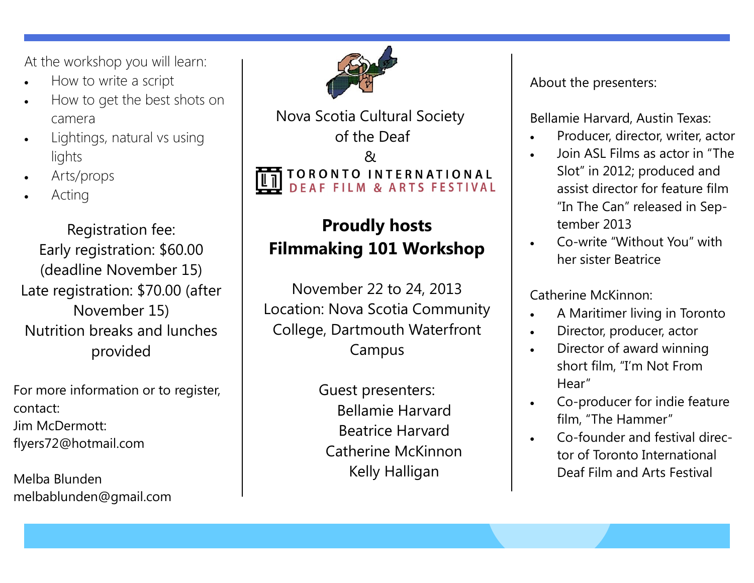At the workshop you will learn:

- How to write a script
- How to get the best shots on camera
- Lightings, natural vs using lights
- Arts/props
- Acting

Registration fee: Early registration: \$60.00 (deadline November 15) Late registration: \$70.00 (after November 15) Nutrition breaks and lunches provided

For more information or to register, contact: Jim McDermott: flyers72@hotmail.com

Melba Blunden melbablunden@gmail.com



Nova Scotia Cultural Society of the Deaf  $\mathcal{R}_{l}$ TORONTO INTERNATIONAL<br>DEAF FILM & ARTS FESTIVAL

## **Proudly hosts Filmmaking 101 Workshop**

November 22 to 24, 2013 Location: Nova Scotia Community College, Dartmouth Waterfront Campus

> Guest presenters: Bellamie Harvard Beatrice Harvard Catherine McKinnon Kelly Halligan

About the presenters:

Bellamie Harvard, Austin Texas:

- Producer, director, writer, actor
- Join ASL Films as actor in "The Slot" in 2012; produced and assist director for feature film "In The Can" released in September 2013
- Co-write "Without You" with her sister Beatrice

Catherine McKinnon:

- A Maritimer living in Toronto
- Director, producer, actor
- Director of award winning short film, "I'm Not From Hear"
- Co-producer for indie feature film, "The Hammer"
- Co-founder and festival director of Toronto International Deaf Film and Arts Festival